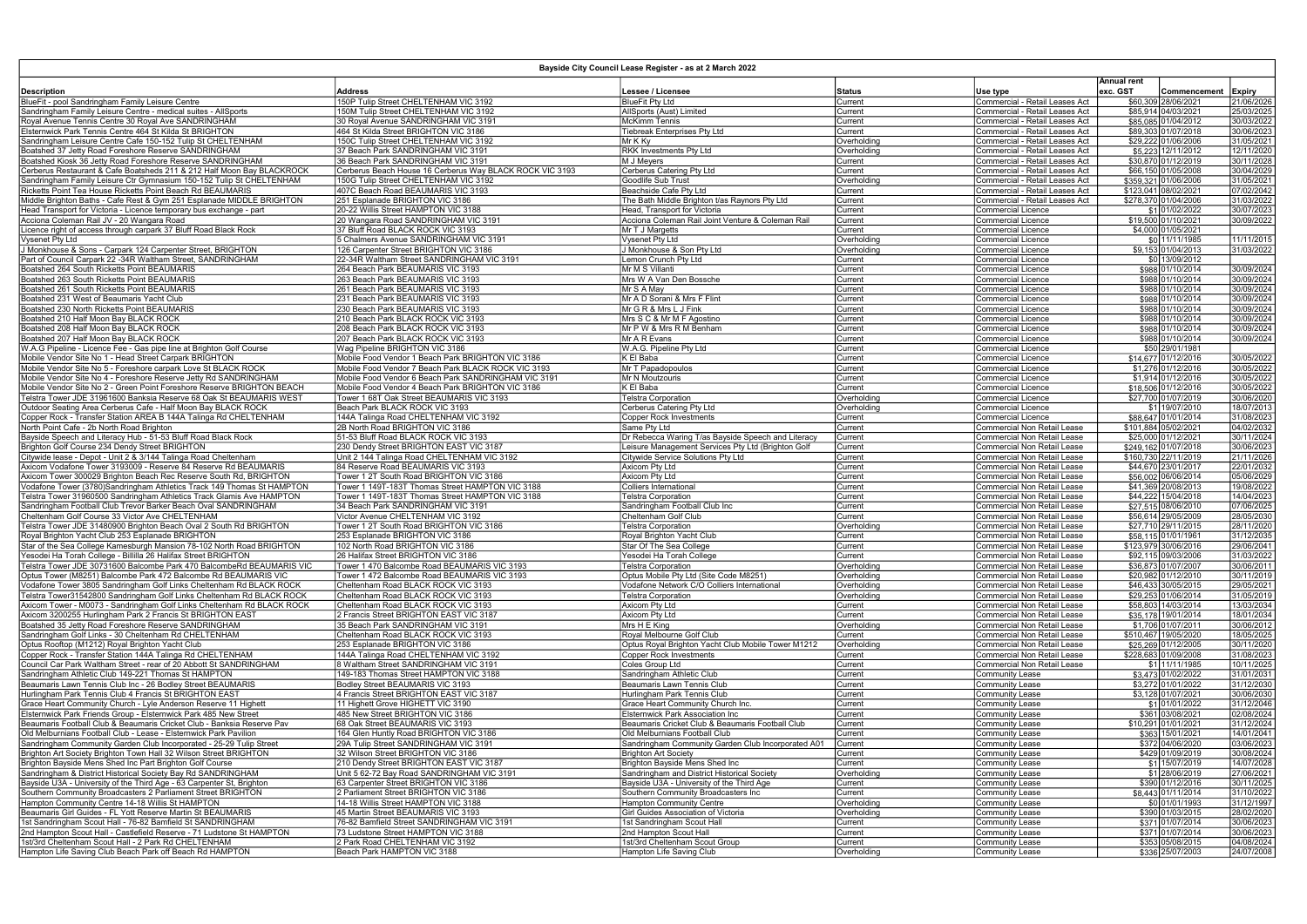|                                                                                                                                          | Bayside City Council Lease Register - as at 2 march 2022<br><b>Annual rent</b>  |                                                                                     |                            |                                                                   |          |                                             |                          |  |  |
|------------------------------------------------------------------------------------------------------------------------------------------|---------------------------------------------------------------------------------|-------------------------------------------------------------------------------------|----------------------------|-------------------------------------------------------------------|----------|---------------------------------------------|--------------------------|--|--|
| <b>Description</b>                                                                                                                       | <b>Address</b>                                                                  | Lessee / Licensee                                                                   | <b>Status</b>              | Use type                                                          | exc. GST | Commencement                                | <b>Expiry</b>            |  |  |
| BlueFit - pool Sandringham Family Leisure Centre                                                                                         | 150P Tulip Street CHELTENHAM VIC 3192                                           | <b>BlueFit Pty Ltd</b>                                                              | Current                    | Commercial - Retail Leases Act                                    |          | \$60,309 28/06/2021                         | 21/06/2026               |  |  |
| Sandringham Family Leisure Centre - medical suites - AllSports                                                                           | 150M Tulip Street CHELTENHAM VIC 3192                                           | AllSports (Aust) Limited                                                            | Current                    | Commercial - Retail Leases Act                                    |          | \$85,914 04/03/2021                         | 25/03/2025               |  |  |
| Royal Avenue Tennis Centre 30 Royal Ave SANDRINGHAM                                                                                      | 30 Royal Avenue SANDRINGHAM VIC 3191                                            | <b>McKimm Tennis</b>                                                                | Current                    | Commercial - Retail Leases Act                                    |          | \$85,085 01/04/2012                         | 30/03/2022               |  |  |
| Elsternwick Park Tennis Centre 464 St Kilda St BRIGHTON<br>Sandringham Leisure Centre Cafe 150-152 Tulip St CHELTENHAM                   | 464 St Kilda Street BRIGHTON VIC 3186<br>150C Tulip Street CHELTENHAM VIC 3192  | Tiebreak Enterprises Pty Ltd<br>Mr K Ky                                             | Current<br>Overholding     | Commercial - Retail Leases Act<br>Commercial - Retail Leases Act  |          | \$89.303 01/07/2018<br>\$29,222 01/06/2006  | 30/06/2023<br>31/05/2021 |  |  |
| Boatshed 37 Jetty Road Foreshore Reserve SANDRINGHAM                                                                                     | 37 Beach Park SANDRINGHAM VIC 3191                                              | <b>RKK Investments Pty Ltd</b>                                                      | Overholding                | Commercial - Retail Leases Act                                    |          | \$5,223 12/11/2012                          | 12/11/2020               |  |  |
| Boatshed Kiosk 36 Jetty Road Foreshore Reserve SANDRINGHAM                                                                               | 36 Beach Park SANDRINGHAM VIC 3191                                              | M J Meyers                                                                          | Current                    | Commercial - Retail Leases Act                                    |          | \$30,870 01/12/2019                         | 30/11/2028               |  |  |
| Cerberus Restaurant & Cafe Boatsheds 211 & 212 Half Moon Bay BLACKROCK                                                                   | Cerberus Beach House 16 Cerberus Way BLACK ROCK VIC 3193                        | Cerberus Catering Pty Ltd                                                           | Current                    | Commercial - Retail Leases Act                                    |          | \$66.150 01/05/2008                         | 30/04/2029               |  |  |
| Sandringham Family Leisure Ctr Gymnasium 150-152 Tulip St CHELTENHAM                                                                     | 150G Tulip Street CHELTENHAM VIC 3192                                           | Goodlife Sub Trust                                                                  | Overholding                | Commercial - Retail Leases Act                                    |          | \$359,321 01/06/2006                        | 31/05/2021               |  |  |
| Ricketts Point Tea House Ricketts Point Beach Rd BEAUMARIS<br>Middle Brighton Baths - Cafe Rest & Gym 251 Esplanade MIDDLE BRIGHTON      | 407C Beach Road BEAUMARIS VIC 3193<br>1251 Esplanade BRIGHTON VIC 3186          | Beachside Cafe Pty Ltd<br>The Bath Middle Brighton t/as Raynors Pty Ltd             | Current                    | Commercial - Retail Leases Act                                    |          | \$123,041 08/02/2021                        | 07/02/2042<br>31/03/2022 |  |  |
| Head Transport for Victoria - Licence temporary bus exchange - part                                                                      | 20-22 Willis Street HAMPTON VIC 3188                                            | Head, Transport for Victoria                                                        | Current<br>Current         | Commercial - Retail Leases Act<br>Commercial Licence              |          | \$278,370 01/04/2006<br>\$1 01/02/2022      | 30/07/2023               |  |  |
| Acciona Coleman Rail JV - 20 Wangara Road                                                                                                | 20 Wangara Road SANDRINGHAM VIC 3191                                            | Acciona Coleman Rail Joint Venture & Coleman Rail                                   | Current                    | <b>Commercial Licence</b>                                         |          | \$19.500 01/10/2021                         | 30/09/2022               |  |  |
| Licence right of access through carpark 37 Bluff Road Black Rock                                                                         | 37 Bluff Road BLACK ROCK VIC 3193                                               | Mr T J Margetts                                                                     | Current                    | <b>Commercial Licence</b>                                         |          | \$4,000 01/05/2021                          |                          |  |  |
| Vysenet Pty Ltd                                                                                                                          | 5 Chalmers Avenue SANDRINGHAM VIC 3191                                          | Vysenet Pty Ltd                                                                     | Overholding                | Commercial Licence                                                |          | \$0 11/11/1985                              | 11/11/2015               |  |  |
| J Monkhouse & Sons - Carpark 124 Carpenter Street, BRIGHTON                                                                              | 126 Carpenter Street BRIGHTON VIC 3186                                          | J Monkhouse & Son Pty Ltd                                                           | Overholding                | <b>Commercial Licence</b>                                         |          | \$9,153 01/04/2013                          | 31/03/2022               |  |  |
| Part of Council Carpark 22 -34R Waltham Street, SANDRINGHAM<br>Boatshed 264 South Ricketts Point BEAUMARIS                               | 22-34R Waltham Street SANDRINGHAM VIC 3191<br>264 Beach Park BEAUMARIS VIC 3193 | Lemon Crunch Pty Ltd<br>Mr M S Villanti                                             | Current                    | Commercial Licence                                                |          | \$0 13/09/2012<br>\$988 01/10/2014          | 30/09/2024               |  |  |
| Boatshed 263 South Ricketts Point BEAUMARIS                                                                                              | 263 Beach Park BEAUMARIS VIC 3193                                               | Mrs W A Van Den Bossche                                                             | Current<br>Current         | <b>Commercial Licence</b><br><b>Commercial Licence</b>            |          | \$988 01/10/2014                            | 30/09/2024               |  |  |
| Boatshed 261 South Ricketts Point BEAUMARIS                                                                                              | 261 Beach Park BEAUMARIS VIC 3193                                               | Mr S A May                                                                          | Current                    | Commercial Licence                                                |          | \$988 01/10/2014                            | 30/09/2024               |  |  |
| Boatshed 231 West of Beaumaris Yacht Club                                                                                                | 231 Beach Park BEAUMARIS VIC 3193                                               | Mr A D Sorani & Mrs F Flint                                                         | Current                    | <b>Commercial Licence</b>                                         |          | \$988 01/10/2014                            | 30/09/2024               |  |  |
| Boatshed 230 North Ricketts Point BEAUMARIS                                                                                              | 230 Beach Park BEAUMARIS VIC 3193                                               | Mr G R & Mrs L J Fink                                                               | Current                    | Commercial Licence                                                |          | \$988 01/10/2014                            | 30/09/2024               |  |  |
| Boatshed 210 Half Moon Bay BLACK ROCK                                                                                                    | 210 Beach Park BLACK ROCK VIC 3193                                              | Mrs S C & Mr M F Agostino                                                           | Current                    | <b>Commercial Licence</b>                                         |          | \$988 01/10/2014                            | 30/09/2024               |  |  |
| Boatshed 208 Half Moon Bav BLACK ROCK<br>Boatshed 207 Half Moon Bay BLACK ROCK                                                           | 208 Beach Park BLACK ROCK VIC 3193<br>207 Beach Park BLACK ROCK VIC 3193        | IMr P W & Mrs R M Benham<br>Mr A R Evans                                            | Current                    | <b>Commercial Licence</b>                                         |          | \$988 01/10/2014                            | 30/09/2024<br>30/09/2024 |  |  |
| W.A.G Pipeline - Licence Fee - Gas pipe line at Brighton Golf Course                                                                     | Wag Pipeline BRIGHTON VIC 3186                                                  | W.A.G. Pipeline Pty Ltd                                                             | Current<br>Current         | <b>Commercial Licence</b><br><b>Commercial Licence</b>            |          | \$988 01/10/2014<br>\$50 29/01/1981         |                          |  |  |
| Mobile Vendor Site No 1 - Head Street Carpark BRIGHTON                                                                                   | Mobile Food Vendor 1 Beach Park BRIGHTON VIC 3186                               | K El Baba                                                                           | Current                    | Commercial Licence                                                |          | \$14,677 01/12/2016                         | 30/05/2022               |  |  |
| Mobile Vendor Site No 5 - Foreshore carpark Love St BLACK ROCK                                                                           | Mobile Food Vendor 7 Beach Park BLACK ROCK VIC 3193                             | Mr T Papadopoulos                                                                   | Current                    | <b>Commercial Licence</b>                                         |          | \$1.276 01/12/2016                          | 30/05/2022               |  |  |
| Mobile Vendor Site No 4 - Foreshore Reserve Jetty Rd SANDRINGHAM                                                                         | Mobile Food Vendor 6 Beach Park SANDRINGHAM VIC 3191                            | Mr N Moutzouris                                                                     | Current                    | <b>Commercial Licence</b>                                         |          | \$1,914 01/12/2016                          | 30/05/2022               |  |  |
| Mobile Vendor Site No 2 - Green Point Foreshore Reserve BRIGHTON BEACH                                                                   | Mobile Food Vendor 4 Beach Park BRIGHTON VIC 3186                               | K El Baba                                                                           | Current                    | Commercial Licence                                                |          | \$18,506 01/12/2016                         | 30/05/2022               |  |  |
| Telstra Tower JDE 31961600 Banksia Reserve 68 Oak St BEAUMARIS WEST<br>Outdoor Seating Area Cerberus Cafe - Half Moon Bay BLACK ROCK     | Tower 1 68T Oak Street BEAUMARIS VIC 3193<br>Beach Park BLACK ROCK VIC 3193     | <b>Telstra Corporation</b><br>Cerberus Catering Pty Ltd                             | Overholding<br>Overholding | <b>Commercial Licence</b><br>Commercial Licence                   |          | \$27,700 01/07/2019<br>\$1 19/07/2010       | 30/06/2020<br>18/07/2013 |  |  |
| Copper Rock - Transfer Station AREA B 144A Talinga Rd CHELTENHAM                                                                         | 144A Talinga Road CHELTENHAM VIC 3192                                           | <b>Copper Rock Investments</b>                                                      | Current                    | <b>Commercial Licence</b>                                         |          | \$88,647 01/01/2014                         | 31/08/2023               |  |  |
| North Point Cafe - 2b North Road Brighton                                                                                                | 2B North Road BRIGHTON VIC 3186                                                 | Same Ptv Ltd                                                                        | Current                    | <b>Commercial Non Retail Lease</b>                                |          | \$101,884 05/02/2021                        | 04/02/2032               |  |  |
| Bayside Speech and Literacy Hub - 51-53 Bluff Road Black Rock                                                                            | 51-53 Bluff Road BLACK ROCK VIC 3193                                            | Dr Rebecca Waring T/as Bayside Speech and Literacy                                  | Current                    | Commercial Non Retail Lease                                       |          | \$25,000 01/12/2021                         | 30/11/2024               |  |  |
| Brighton Golf Course 234 Dendy Street BRIGHTON                                                                                           | 230 Dendy Street BRIGHTON EAST VIC 3187                                         | Leisure Management Services Pty Ltd (Brighton Golf                                  | Current                    | <b>Commercial Non Retail Lease</b>                                |          | \$249,162 01/07/2018                        | 30/06/2023               |  |  |
| Citywide lease - Depot - Unit 2 & 3/144 Talinga Road Cheltenham                                                                          | Unit 2 144 Talinga Road CHELTENHAM VIC 3192                                     | Citywide Service Solutions Pty Ltd                                                  | Current                    | Commercial Non Retail Lease                                       |          | \$160,730 22/11/2019                        | 21/11/2026               |  |  |
| Axicom Vodafone Tower 3193009 - Reserve 84 Reserve Rd BEAUMARIS<br>Axicom Tower 300029 Brighton Beach Rec Reserve South Rd, BRIGHTON     | 84 Reserve Road BEAUMARIS VIC 3193<br>Tower 1 2T South Road BRIGHTON VIC 3186   | Axicom Pty Ltd<br>Axicom Pty Ltd                                                    | Current<br>Current         | <b>Commercial Non Retail Lease</b><br>Commercial Non Retail Lease |          | \$44,670 23/01/2017<br>\$56,002 06/06/2014  | 22/01/2032<br>05/06/2029 |  |  |
| Vodafone Tower (3780)Sandringham Athletics Track 149 Thomas St HAMPTON                                                                   | Tower 1 149T-183T Thomas Street HAMPTON VIC 3188                                | Colliers International                                                              | Current                    | Commercial Non Retail Lease                                       |          | \$41,369 20/08/2013                         | 19/08/2022               |  |  |
| Telstra Tower 31960500 Sandringham Athletics Track Glamis Ave HAMPTON                                                                    | Tower 1 149T-183T Thomas Street HAMPTON VIC 3188                                | Telstra Corporation                                                                 | Current                    | Commercial Non Retail Lease                                       |          | \$44,222 15/04/2018                         | 14/04/2023               |  |  |
| Sandringham Football Club Trevor Barker Beach Oval SANDRINGHAM                                                                           | 34 Beach Park SANDRINGHAM VIC 3191                                              | Sandringham Football Club Inc                                                       | Current                    | Commercial Non Retail Lease                                       |          | \$27.515 08/06/2010                         | 07/06/2025               |  |  |
| Cheltenham Golf Course 33 Victor Ave CHELTENHAM                                                                                          | Victor Avenue CHELTENHAM VIC 3192                                               | Cheltenham Golf Club                                                                | Current                    | <b>Commercial Non Retail Lease</b>                                |          | \$56.614 29/05/2009                         | 28/05/2030               |  |  |
| Telstra Tower JDE 31480900 Brighton Beach Oval 2 South Rd BRIGHTON                                                                       | Tower 1 2T South Road BRIGHTON VIC 3186                                         | <b>Telstra Corporation</b>                                                          | Overholding                | Commercial Non Retail Lease                                       |          | \$27.710 29/11/2015                         | 28/11/2020               |  |  |
| Royal Brighton Yacht Club 253 Esplanade BRIGHTON<br>Star of the Sea College Kamesburgh Mansion 78-102 North Road BRIGHTON                | 253 Esplanade BRIGHTON VIC 3186<br>102 North Road BRIGHTON VIC 3186             | Royal Brighton Yacht Club<br>Star Of The Sea College                                | Current<br>Current         | Commercial Non Retail Lease<br>Commercial Non Retail Lease        |          | \$58,115 01/01/1961<br>\$123,979 30/06/2016 | 31/12/2035<br>29/06/2041 |  |  |
| Yesodei Ha Torah College - Billilla 26 Halifax Street BRIGHTON                                                                           | 26 Halifax Street BRIGHTON VIC 3186                                             | Yesodei Ha Torah College                                                            | Current                    | Commercial Non Retail Lease                                       |          | \$92,115 09/03/2006                         | 31/03/2022               |  |  |
| Telstra Tower JDE 30731600 Balcombe Park 470 BalcombeRd BEAUMARIS VIC                                                                    | Tower 1 470 Balcombe Road BEAUMARIS VIC 3193                                    | <b>Telstra Corporation</b>                                                          | Overholding                | Commercial Non Retail Lease                                       |          | \$36,873 01/07/2007                         | 30/06/2011               |  |  |
| Optus Tower (M8251) Balcombe Park 472 Balcombe Rd BEAUMARIS VIC                                                                          | Tower 1 472 Balcombe Road BEAUMARIS VIC 3193                                    | Optus Mobile Ptv Ltd (Site Code M8251)                                              | Overholding                | Commercial Non Retail Lease                                       |          | \$20,982 01/12/2010                         | 30/11/2019               |  |  |
| Vodafone Tower 3805 Sandringham Golf Links Cheltenham Rd BLACK ROCK                                                                      | Cheltenham Road BLACK ROCK VIC 3193                                             | Vodafone Network C/O Colliers International                                         | Overholding                | <b>Commercial Non Retail Lease</b>                                |          | \$46,433 30/05/2015                         | 29/05/2021               |  |  |
| Telstra Tower31542800 Sandringham Golf Links Cheltenham Rd BLACK ROCK                                                                    | Cheltenham Road BLACK ROCK VIC 3193                                             | <b>Telstra Corporation</b>                                                          | Overholding                | Commercial Non Retail Lease                                       |          | \$29,253 01/06/2014                         | 31/05/2019               |  |  |
| Axicom Tower - M0073 - Sandringham Golf Links Cheltenham Rd BLACK ROCK<br>Axicom 3200255 Hurlingham Park 2 Francis St BRIGHTON EAST      | Cheltenham Road BLACK ROCK VIC 3193<br>2 Francis Street BRIGHTON EAST VIC 3187  | Axicom Pty Ltd<br>Axicom Pty Ltd                                                    | Current<br>Current         | Commercial Non Retail Lease<br>Commercial Non Retail Lease        |          | \$58,803 14/03/2014<br>\$35,178 19/01/2014  | 13/03/2034<br>18/01/2034 |  |  |
| Boatshed 35 Jetty Road Foreshore Reserve SANDRINGHAM                                                                                     | 35 Beach Park SANDRINGHAM VIC 3191                                              | Mrs H E King                                                                        | Overholding                | Commercial Non Retail Lease                                       |          | \$1,706 01/07/2011                          | 30/06/2012               |  |  |
| Sandringham Golf Links - 30 Cheltenham Rd CHELTENHAM                                                                                     | Cheltenham Road BLACK ROCK VIC 3193                                             | Royal Melbourne Golf Club                                                           | Current                    | Commercial Non Retail Lease                                       |          | \$510,467 19/05/2020                        | 18/05/2025               |  |  |
| Optus Rooftop (M1212) Royal Brighton Yacht Club                                                                                          | 253 Esplanade BRIGHTON VIC 3186                                                 | Optus Roval Brighton Yacht Club Mobile Tower M1212                                  | Overholding                | Commercial Non Retail Lease                                       |          | \$25,269 01/12/2005                         | 30/11/2020               |  |  |
| Copper Rock - Transfer Station 144A Talinga Rd CHELTENHAM                                                                                | 144A Talinga Road CHELTENHAM VIC 3192                                           | <b>Copper Rock Investments</b>                                                      | Current                    | Commercial Non Retail Lease                                       |          | \$228,683 01/09/2008                        | 31/08/2023               |  |  |
| Council Car Park Waltham Street - rear of 20 Abbott St SANDRINGHAM                                                                       | 8 Waltham Street SANDRINGHAM VIC 3191                                           | Coles Group Ltd                                                                     | Current                    | Commercial Non Retail Lease                                       |          | \$1 11/11/1985                              | 10/11/2025               |  |  |
| Sandringham Athletic Club 149-221 Thomas St HAMPTON<br>Beaumaris Lawn Tennis Club Inc - 26 Bodley Street BEAUMARIS                       | 149-183 Thomas Street HAMPTON VIC 3188<br>Bodley Street BEAUMARIS VIC 3193      | Sandringham Athletic Club<br>Beaumaris Lawn Tennis Club                             | Current<br>Current         | <b>Community Lease</b><br><b>Community Lease</b>                  |          | \$3,473 01/02/2022<br>\$3,272 01/01/2022    | 31/01/2031<br>31/12/2030 |  |  |
| Hurlingham Park Tennis Club 4 Francis St BRIGHTON EAST                                                                                   | 4 Francis Street BRIGHTON EAST VIC 3187                                         | Hurlingham Park Tennis Club                                                         | Current                    | <b>Community Lease</b>                                            |          | \$3,128 01/07/2021                          | 30/06/2030               |  |  |
| Grace Heart Community Church - Lyle Anderson Reserve 11 Highett                                                                          | 11 Highett Grove HIGHETT VIC 3190                                               | Grace Heart Community Church Inc.                                                   | Current                    | <b>Community Lease</b>                                            |          | \$1 01/01/2022                              | 31/12/2046               |  |  |
| Elsternwick Park Friends Group - Elsternwick Park 485 New Street                                                                         | 485 New Street BRIGHTON VIC 3186                                                | Elsternwick Park Association Inc                                                    | Current                    | <b>Community Lease</b>                                            |          | \$361 03/08/2021                            | 02/08/2024               |  |  |
| Beaumaris Football Club & Beaumaris Cricket Club - Banksia Reserve Pav                                                                   | 68 Oak Street BEAUMARIS VIC 3193                                                | Beaumaris Cricket Club & Beaumaris Football Club                                    | Current                    | <b>Community Lease</b>                                            |          | \$10,291 01/01/2021                         | 31/12/2024               |  |  |
| Old Melburnians Football Club - Lease - Elsternwick Park Pavilion<br>Sandringham Community Garden Club Incorporated - 25-29 Tulip Street | 164 Glen Huntly Road BRIGHTON VIC 3186<br>29A Tulip Street SANDRINGHAM VIC 3191 | Old Melburnians Football Club<br>Sandringham Community Garden Club Incorporated A01 | Current<br>Current         | <b>Community Lease</b><br><b>Community Lease</b>                  |          | \$363 15/01/2021<br>\$372 04/06/2020        | 14/01/2041<br>03/06/2023 |  |  |
| Brighton Art Society Brighton Town Hall 32 Wilson Street BRIGHTON                                                                        | 32 Wilson Street BRIGHTON VIC 3186                                              | <b>Brighton Art Society</b>                                                         | Current                    | <b>Community Lease</b>                                            |          | \$429 01/09/2019                            | 30/08/2024               |  |  |
| Brighton Bayside Mens Shed Inc Part Brighton Golf Course                                                                                 | 210 Dendy Street BRIGHTON EAST VIC 3187                                         | Brighton Bayside Mens Shed Inc                                                      | Current                    | <b>Community Lease</b>                                            |          | \$1 15/07/2019                              | 14/07/2028               |  |  |
| Sandringham & District Historical Society Bay Rd SANDRINGHAM                                                                             | Unit 5 62-72 Bay Road SANDRINGHAM VIC 3191                                      | Sandringham and District Historical Society                                         | Overholding                | <b>Community Lease</b>                                            |          | \$1 28/06/2019                              | 27/06/2021               |  |  |
| Bayside U3A - University of the Third Age - 63 Carpenter St, Brighton                                                                    | 63 Carpenter Street BRIGHTON VIC 3186                                           | Bayside U3A - University of the Third Age                                           | Current                    | <b>Community Lease</b>                                            |          | \$390 01/12/2016                            | 30/11/2025               |  |  |
| Southern Community Broadcasters 2 Parliament Street BRIGHTON                                                                             | 2 Parliament Street BRIGHTON VIC 3186                                           | Southern Community Broadcasters Inc                                                 | Current                    | <b>Community Lease</b>                                            |          | \$8,443 01/11/2014                          | 31/10/2022               |  |  |
| Hampton Community Centre 14-18 Willis St HAMPTON<br>Beaumaris Girl Guides - FL Yott Reserve Martin St BEAUMARIS                          | 14-18 Willis Street HAMPTON VIC 3188<br>45 Martin Street BEAUMARIS VIC 3193     | <b>Hampton Community Centre</b><br>Girl Guides Association of Victoria              | Overholding<br>Overholding | <b>Community Lease</b>                                            |          | \$0 01/01/1993<br>\$390 01/03/2015          | 31/12/1997<br>28/02/2020 |  |  |
| 1st Sandringham Scout Hall - 76-82 Bamfield St SANDRINGHAM                                                                               | 76-82 Bamfield Street SANDRINGHAM VIC 3191                                      | 1st Sandringham Scout Hall                                                          | Current                    | <b>Community Lease</b><br><b>Community Lease</b>                  |          | \$371 01/07/2014                            | 30/06/2023               |  |  |
| 2nd Hampton Scout Hall - Castlefield Reserve - 71 Ludstone St HAMPTON                                                                    | 73 Ludstone Street HAMPTON VIC 3188                                             | 2nd Hampton Scout Hall                                                              | Current                    | <b>Community Lease</b>                                            |          | \$371 01/07/2014                            | 30/06/2023               |  |  |
| 1st/3rd Cheltenham Scout Hall - 2 Park Rd CHELTENHAM                                                                                     | 2 Park Road CHELTENHAM VIC 3192                                                 | 1st/3rd Cheltenham Scout Group                                                      | Current                    | <b>Community Lease</b>                                            |          | \$353 05/08/2015                            | 04/08/2024               |  |  |
| Hampton Life Saving Club Beach Park off Beach Rd HAMPTON                                                                                 | Beach Park HAMPTON VIC 3188                                                     | Hampton Life Saving Club                                                            | Overholding                | <b>Community Lease</b>                                            |          | \$336 25/07/2003                            | 24/07/2008               |  |  |

## Bayside City Council Lease Register - as at 2 March 2022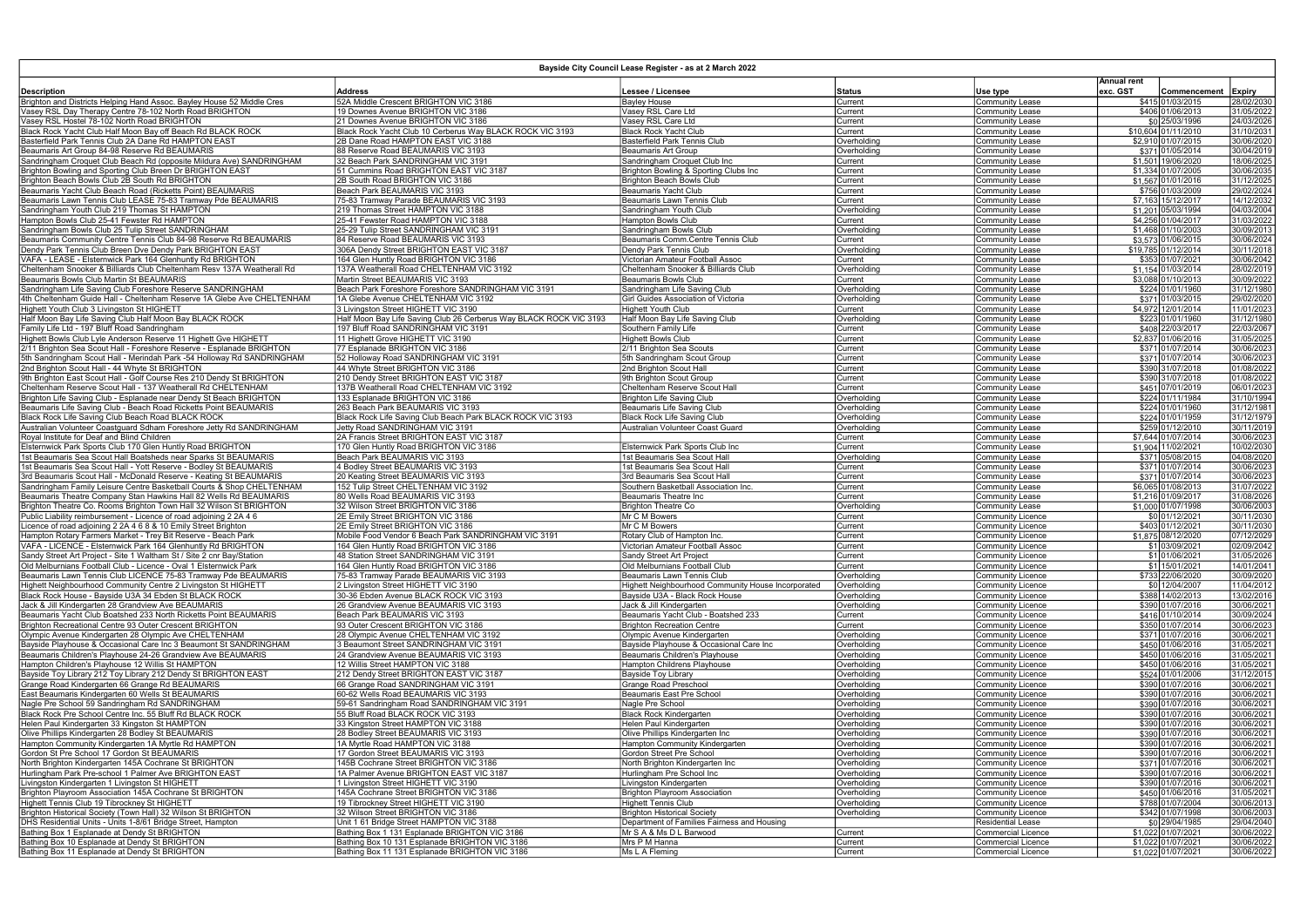## Bayside City Council Lease Register - as at 2 March 2022

|                                                                                                                                     |                                                                                    |                                                                    |                            |                                                      | <b>Annual rent</b> |                                          |                          |
|-------------------------------------------------------------------------------------------------------------------------------------|------------------------------------------------------------------------------------|--------------------------------------------------------------------|----------------------------|------------------------------------------------------|--------------------|------------------------------------------|--------------------------|
| <b>Description</b>                                                                                                                  | <b>Address</b>                                                                     | Lessee / Licensee                                                  | <b>Status</b>              | Use type                                             | exc. GST           | Commencement                             | Expiry                   |
| Brighton and Districts Helping Hand Assoc. Bayley House 52 Middle Cres<br>Vasey RSL Day Therapy Centre 78-102 North Road BRIGHTON   | 52A Middle Crescent BRIGHTON VIC 3186<br>19 Downes Avenue BRIGHTON VIC 3186        | <b>Bayley House</b><br>Vasey RSL Care Ltd                          | Current<br>Current         | Community Lease<br><b>Community Lease</b>            |                    | \$415 01/03/2015<br>\$406 01/06/2013     | 28/02/2030<br>31/05/2022 |
| Vasey RSL Hostel 78-102 North Road BRIGHTON                                                                                         | 21 Downes Avenue BRIGHTON VIC 3186                                                 | Vasey RSL Care Ltd                                                 | Current                    | Community Lease                                      |                    | \$0 25/03/1996                           | 24/03/2026               |
| Black Rock Yacht Club Half Moon Bay off Beach Rd BLACK ROCK                                                                         | Black Rock Yacht Club 10 Cerberus Way BLACK ROCK VIC 3193                          | <b>Black Rock Yacht Club</b>                                       | Current                    | <b>Community Lease</b>                               |                    | \$10,604 01/11/2010                      | 31/10/2031               |
| Basterfield Park Tennis Club 2A Dane Rd HAMPTON EAST                                                                                | 2B Dane Road HAMPTON EAST VIC 3188                                                 | Basterfield Park Tennis Club                                       | Overholding                | Community Lease                                      |                    | \$2,910 01/07/2015                       | 30/06/2020               |
| Beaumaris Art Group 84-98 Reserve Rd BEAUMARIS                                                                                      | 88 Reserve Road BEAUMARIS VIC 3193                                                 | <b>Beaumaris Art Group</b>                                         | Overholding                | <b>Community Lease</b>                               |                    | \$371 01/05/2014                         | 30/04/2019               |
| Sandringham Croquet Club Beach Rd (opposite Mildura Ave) SANDRINGHAM                                                                | 32 Beach Park SANDRINGHAM VIC 3191                                                 | Sandringham Croquet Club Inc                                       | Current                    | Community Lease                                      |                    | \$1,501 19/06/2020                       | 18/06/2025               |
| Brighton Bowling and Sporting Club Breen Dr BRIGHTON EAST                                                                           | 51 Cummins Road BRIGHTON EAST VIC 3187                                             | Brighton Bowling & Sporting Clubs Inc                              | Current                    | Community Lease                                      |                    | \$1,334 01/07/2005                       | 30/06/2035               |
| Brighton Beach Bowls Club 2B South Rd BRIGHTON                                                                                      | 2B South Road BRIGHTON VIC 3186                                                    | <b>Brighton Beach Bowls Club</b>                                   | Current                    | Community Lease                                      |                    | \$1,567 01/01/2016                       | 31/12/2025               |
| Beaumaris Yacht Club Beach Road (Ricketts Point) BEAUMARIS                                                                          | Beach Park BEAUMARIS VIC 3193                                                      | Beaumaris Yacht Club                                               | Current                    | Community Lease                                      |                    | \$756 01/03/2009                         | 29/02/2024               |
| Beaumaris Lawn Tennis Club LEASE 75-83 Tramway Pde BEAUMARIS<br>Sandringham Youth Club 219 Thomas St HAMPTON                        | 75-83 Tramway Parade BEAUMARIS VIC 3193<br>219 Thomas Street HAMPTON VIC 3188      | Beaumaris Lawn Tennis Club                                         | Current<br>Overholding     | Community Lease                                      |                    | \$7,163 15/12/2017<br>\$1,201 05/03/1994 | 14/12/2032<br>04/03/2004 |
| Hampton Bowls Club 25-41 Fewster Rd HAMPTON                                                                                         | 25-41 Fewster Road HAMPTON VIC 3188                                                | Sandringham Youth Club<br><b>Hampton Bowls Club</b>                | Current                    | Community Lease<br>Community Lease                   |                    | \$4,256 01/04/2017                       | 31/03/2022               |
| Sandringham Bowls Club 25 Tulip Street SANDRINGHAM                                                                                  | 25-29 Tulip Street SANDRINGHAM VIC 3191                                            | Sandringham Bowls Club                                             | Overholding                | Community Lease                                      |                    | \$1,468 01/10/2003                       | 30/09/2013               |
| Beaumaris Community Centre Tennis Club 84-98 Reserve Rd BEAUMARIS                                                                   | 84 Reserve Road BEAUMARIS VIC 3193                                                 | Beaumaris Comm.Centre Tennis Club                                  | Current                    | Community Lease                                      |                    | \$3,573 01/06/2015                       | 30/06/2024               |
| Dendy Park Tennis Club Breen Dve Dendy Park BRIGHTON EAST                                                                           | 306A Dendy Street BRIGHTON EAST VIC 3187                                           | Dendy Park Tennis Club                                             | Overholding                | <b>Community Lease</b>                               |                    | \$19,785 01/12/2014                      | 30/11/2018               |
| VAFA - LEASE - Elsternwick Park 164 Glenhuntly Rd BRIGHTON                                                                          | 164 Glen Huntly Road BRIGHTON VIC 3186                                             | Victorian Amateur Football Assoc                                   | Current                    | Community Lease                                      |                    | \$353 01/07/2021                         | 30/06/2042               |
| Cheltenham Snooker & Billiards Club Cheltenham Resv 137A Weatherall Rd                                                              | 137A Weatherall Road CHELTENHAM VIC 3192                                           | Cheltenham Snooker & Billiards Club                                | Overholding                | Community Lease                                      |                    | \$1,154 01/03/2014                       | 28/02/2019               |
| Beaumaris Bowls Club Martin St BEAUMARIS                                                                                            | Martin Street BEAUMARIS VIC 3193                                                   | Beaumaris Bowls Club                                               | Current                    | Community Lease                                      |                    | \$3,088 01/10/2013                       | 30/09/2022               |
| Sandringham Life Saving Club Foreshore Reserve SANDRINGHAM                                                                          | Beach Park Foreshore Foreshore SANDRINGHAM VIC 3191                                | Sandringham Life Saving Club                                       | Overholding                | Community Lease                                      |                    | \$224 01/01/1960                         | 31/12/1980               |
| 4th Cheltenham Guide Hall - Cheltenham Reserve 1A Glebe Ave CHELTENHAM                                                              | 1A Glebe Avenue CHELTENHAM VIC 3192                                                | Girl Guides Association of Victoria                                | Overholding                | Community Lease                                      |                    | \$371 01/03/2015                         | 29/02/2020               |
| Highett Youth Club 3 Livingston St HIGHETT                                                                                          | 3 Livingston Street HIGHETT VIC 3190                                               | <b>Highett Youth Club</b>                                          | Current                    | <b>Community Lease</b>                               |                    | \$4,972 12/01/2014                       | 11/01/2023               |
| Half Moon Bay Life Saving Club Half Moon Bay BLACK ROCK<br>Family Life Ltd - 197 Bluff Road Sandringham                             | Half Moon Bay Life Saving Club 26 Cerberus Way BLACK ROCK VIC 3193                 | Half Moon Bay Life Saving Club                                     | Overholding                | Community Lease                                      |                    | \$223 01/01/1960                         | 31/12/1980               |
| Highett Bowls Club Lyle Anderson Reserve 11 Highett Gve HIGHETT                                                                     | 197 Bluff Road SANDRINGHAM VIC 3191<br>11 Highett Grove HIGHETT VIC 3190           | Southern Family Life<br><b>Highett Bowls Club</b>                  | Current<br>Current         | Community Lease<br>Community Lease                   |                    | \$408 22/03/2017<br>\$2,837 01/06/2016   | 22/03/2067<br>31/05/2025 |
| 2/11 Brighton Sea Scout Hall - Foreshore Reserve - Esplanade BRIGHTON                                                               | 77 Esplanade BRIGHTON VIC 3186                                                     | 2/11 Brighton Sea Scouts                                           | Current                    | Community Lease                                      |                    | \$371 01/07/2014                         | 30/06/2023               |
| 5th Sandringham Scout Hall - Merindah Park -54 Holloway Rd SANDRINGHAM                                                              | 52 Holloway Road SANDRINGHAM VIC 3191                                              | 5th Sandringham Scout Group                                        | Current                    | Community Lease                                      |                    | \$371 01/07/2014                         | 30/06/2023               |
| 2nd Brighton Scout Hall - 44 Whyte St BRIGHTON                                                                                      | 44 Whyte Street BRIGHTON VIC 3186                                                  | 2nd Brighton Scout Hall                                            | Current                    | Community Lease                                      |                    | \$390 31/07/2018                         | 01/08/2022               |
| 9th Brighton East Scout Hall - Golf Course Res 210 Dendy St BRIGHTON                                                                | 210 Dendy Street BRIGHTON EAST VIC 3187                                            | 9th Brighton Scout Group                                           | Current                    | Community Lease                                      |                    | \$390 31/07/2018                         | 01/08/2022               |
| Cheltenham Reserve Scout Hall - 137 Weatherall Rd CHELTENHAM                                                                        | 137B Weatherall Road CHELTENHAM VIC 3192                                           | Cheltenham Reserve Scout Hall                                      | Current                    | <b>Community Lease</b>                               |                    | \$451 07/01/2019                         | 06/01/2023               |
| Brighton Life Saving Club - Esplanade near Dendy St Beach BRIGHTON                                                                  | 133 Esplanade BRIGHTON VIC 3186                                                    | <b>Brighton Life Saving Club</b>                                   | Overholding                | Community Lease                                      |                    | \$224 01/11/1984                         | 31/10/1994               |
| Beaumaris Life Saving Club - Beach Road Ricketts Point BEAUMARIS                                                                    | 263 Beach Park BEAUMARIS VIC 3193                                                  | <b>Beaumaris Life Saving Club</b>                                  | Overholding                | Community Lease                                      |                    | \$224 01/01/1960                         | 31/12/1981               |
| Black Rock Life Saving Club Beach Road BLACK ROCK                                                                                   | Black Rock Life Saving Club Beach Park BLACK ROCK VIC 3193                         | <b>Black Rock Life Saving Club</b>                                 | Overholding                | Community Lease                                      |                    | \$224 01/01/1959                         | 31/12/1979               |
| Australian Volunteer Coastguard Sdham Foreshore Jetty Rd SANDRINGHAM                                                                | Jetty Road SANDRINGHAM VIC 3191                                                    | Australian Volunteer Coast Guard                                   | Overholding                | Community Lease                                      |                    | \$259 01/12/2010                         | 30/11/2019               |
| Royal Institute for Deaf and Blind Children<br>Elsternwick Park Sports Club 170 Glen Huntly Road BRIGHTON                           | 2A Francis Street BRIGHTON EAST VIC 3187<br>170 Glen Huntly Road BRIGHTON VIC 3186 | Elsternwick Park Sports Club Inc                                   | Current<br>Current         | Community Lease                                      |                    | \$7,644 01/07/2014<br>\$1,904 11/02/2021 | 30/06/2023<br>10/02/2030 |
| 1st Beaumaris Sea Scout Hall Boatsheds near Sparks St BEAUMARIS                                                                     | Beach Park BEAUMARIS VIC 3193                                                      | 1st Beaumaris Sea Scout Hall                                       | Overholding                | Community Lease<br>Community Lease                   |                    | \$371 05/08/2015                         | 04/08/2020               |
| 1st Beaumaris Sea Scout Hall - Yott Reserve - Bodley St BEAUMARIS                                                                   | 4 Bodley Street BEAUMARIS VIC 3193                                                 | 1st Beaumaris Sea Scout Hall                                       | Current                    | Community Lease                                      |                    | \$371 01/07/2014                         | 30/06/2023               |
| 3rd Beaumaris Scout Hall - McDonald Reserve - Keating St BEAUMARIS                                                                  | 20 Keating Street BEAUMARIS VIC 3193                                               | 3rd Beaumaris Sea Scout Hall                                       | Current                    | Community Lease                                      |                    | \$371 01/07/2014                         | 30/06/2023               |
| Sandringham Family Leisure Centre Basketball Courts & Shop CHELTENHAM                                                               | 152 Tulip Street CHELTENHAM VIC 3192                                               | Southern Basketball Association Inc.                               | Current                    | Community Lease                                      |                    | \$6,065 01/08/2013                       | 31/07/2022               |
| Beaumaris Theatre Company Stan Hawkins Hall 82 Wells Rd BEAUMARIS                                                                   | 80 Wells Road BEAUMARIS VIC 3193                                                   | Beaumaris Theatre Inc                                              | Current                    | Community Lease                                      |                    | \$1,216 01/09/2017                       | 31/08/2026               |
| Brighton Theatre Co. Rooms Brighton Town Hall 32 Wilson St BRIGHTON                                                                 | 32 Wilson Street BRIGHTON VIC 3186                                                 | <b>Brighton Theatre Co</b>                                         | Overholding                | Community Lease                                      |                    | \$1,000 01/07/1998                       | 30/06/2003               |
| Public Liability reimbursement - Licence of road adjoining 2 2A 4 6                                                                 | 2E Emily Street BRIGHTON VIC 3186                                                  | Mr C M Bowers                                                      | Current                    | Community Licence                                    |                    | \$0 01/12/2021                           | 30/11/2030               |
| Licence of road adjoining 2 2A 4 6 8 & 10 Emily Street Brighton                                                                     | 2E Emily Street BRIGHTON VIC 3186                                                  | Mr C M Bowers                                                      | Current                    | Community Licence                                    |                    | \$403 01/12/2021                         | 30/11/2030               |
| Hampton Rotary Farmers Market - Trey Bit Reserve - Beach Park                                                                       | Mobile Food Vendor 6 Beach Park SANDRINGHAM VIC 3191                               | Rotary Club of Hampton Inc                                         | Current                    | Community Licence                                    |                    | \$1,875 08/12/2020                       | 07/12/2029               |
| VAFA - LICENCE - Elsternwick Park 164 Glenhuntly Rd BRIGHTON                                                                        | 164 Glen Huntly Road BRIGHTON VIC 3186                                             | Victorian Amateur Football Assoc                                   | Current                    | Community Licence                                    |                    | \$1 03/09/2021                           | 02/09/2042               |
| Sandy Street Art Project - Site 1 Waltham St / Site 2 cnr Bay/Station                                                               | 48 Station Street SANDRINGHAM VIC 3191                                             | Sandy Street Art Project                                           | Current<br>Current         | <b>Community Licence</b><br><b>Community Licence</b> |                    | \$1 01/06/2021                           | 31/05/2026<br>14/01/2041 |
| Old Melburnians Football Club - Licence - Oval 1 Elsternwick Park<br>Beaumaris Lawn Tennis Club LICENCE 75-83 Tramway Pde BEAUMARIS | 164 Glen Huntly Road BRIGHTON VIC 3186<br>75-83 Tramway Parade BEAUMARIS VIC 3193  | Old Melburnians Football Club<br>Beaumaris Lawn Tennis Club        | Overholding                | Community Licence                                    |                    | \$1 15/01/2021<br>\$733 22/06/2020       | 30/09/2020               |
| Highett Neighbourhood Community Centre 2 Livingston St HIGHETT                                                                      | 2 Livingston Street HIGHETT VIC 3190                                               | Highett Neighbourhood Community House Incorporated                 | Overholding                | Community Licence                                    |                    | \$0 12/04/2007                           | 11/04/2012               |
| Black Rock House - Bayside U3A 34 Ebden St BLACK ROCK                                                                               | 30-36 Ebden Avenue BLACK ROCK VIC 3193                                             | Bayside U3A - Black Rock House                                     | Overholding                | Community Licence                                    |                    | \$388 14/02/2013                         | 13/02/2016               |
| Uack & Jill Kindergarten 28 Grandview Ave BEAUMARIS                                                                                 | 26 Grandview Avenue BEAUMARIS VIC 3193                                             | Jack & Jill Kindergarten                                           | Overholding                | Community Licence                                    |                    | \$390 01/07/2016                         | 30/06/2021               |
| Beaumaris Yacht Club Boatshed 233 North Ricketts Point BEAUMARIS                                                                    | Beach Park BEAUMARIS VIC 3193                                                      | Beaumaris Yacht Club - Boatshed 233                                | Current                    | Community Licence                                    |                    | \$416 01/10/2014                         | 30/09/2024               |
| Brighton Recreational Centre 93 Outer Crescent BRIGHTON                                                                             | 93 Outer Crescent BRIGHTON VIC 3186                                                | <b>Brighton Recreation Centre</b>                                  | Current                    | Community Licence                                    |                    | \$350 01/07/2014                         | 30/06/2023               |
| Olympic Avenue Kindergarten 28 Olympic Ave CHELTENHAM                                                                               | 28 Olympic Avenue CHELTENHAM VIC 3192                                              | Olympic Avenue Kindergarten                                        | Overholding                | Community Licence                                    |                    | \$371 01/07/2016                         | 30/06/2021               |
| Bayside Playhouse & Occasional Care Inc 3 Beaumont St SANDRINGHAM                                                                   | 3 Beaumont Street SANDRINGHAM VIC 3191                                             | Bayside Playhouse & Occasional Care Inc                            | Overholding                | Community Licence                                    |                    | \$450 01/06/2016                         | 31/05/2021               |
| Beaumaris Children's Playhouse 24-26 Grandview Ave BEAUMARIS                                                                        | 24 Grandview Avenue BEAUMARIS VIC 3193                                             | Beaumaris Children's Playhouse                                     | Overholding                | Community Licence                                    |                    | \$450 01/06/2016                         | 31/05/2021               |
| Hampton Children's Playhouse 12 Willis St HAMPTON                                                                                   | 12 Willis Street HAMPTON VIC 3188                                                  | Hampton Childrens Playhouse                                        | Overholding                | Community Licence                                    |                    | \$450 01/06/2016                         | 31/05/2021               |
| Bayside Toy Library 212 Toy Library 212 Dendy St BRIGHTON EAST<br>Grange Road Kindergarten 66 Grange Rd BEAUMARIS                   | 212 Dendy Street BRIGHTON EAST VIC 3187<br>66 Grange Road SANDRINGHAM VIC 3191     | Bayside Toy Library<br>Grange Road Preschool                       | Overholding                | Community Licence<br>Community Licence               |                    | \$524 01/01/2006                         | 31/12/2015<br>30/06/2021 |
| East Beaumaris Kindergarten 60 Wells St BEAUMARIS                                                                                   | 60-62 Wells Road BEAUMARIS VIC 3193                                                | Beaumaris East Pre School                                          | Overholding<br>Overholding | Community Licence                                    |                    | \$390 01/07/2016<br>\$390 01/07/2016     | 30/06/2021               |
| Nagle Pre School 59 Sandringham Rd SANDRINGHAM                                                                                      | 59-61 Sandringham Road SANDRINGHAM VIC 3191                                        | Nagle Pre School                                                   | Overholding                | Community Licence                                    |                    | \$390 01/07/2016                         | 30/06/2021               |
| Black Rock Pre School Centre Inc. 55 Bluff Rd BLACK ROCK                                                                            | 55 Bluff Road BLACK ROCK VIC 3193                                                  | <b>Black Rock Kindergarten</b>                                     | Overholding                | Community Licence                                    |                    | \$390 01/07/2016                         | 30/06/2021               |
| Helen Paul Kindergarten 33 Kingston St HAMPTON                                                                                      | 33 Kingston Street HAMPTON VIC 3188                                                | Helen Paul Kindergarten                                            | Overholding                | Community Licence                                    |                    | \$390 01/07/2016                         | 30/06/2021               |
| Olive Phillips Kindergarten 28 Bodley St BEAUMARIS                                                                                  | 28 Bodley Street BEAUMARIS VIC 3193                                                | Olive Phillips Kindergarten Inc                                    | Overholding                | Community Licence                                    |                    | \$390 01/07/2016                         | 30/06/2021               |
| Hampton Community Kindergarten 1A Myrtle Rd HAMPTON                                                                                 | 1A Myrtle Road HAMPTON VIC 3188                                                    | Hampton Community Kindergarten                                     | Overholding                | Community Licence                                    |                    | \$390 01/07/2016                         | 30/06/2021               |
| Gordon St Pre School 17 Gordon St BEAUMARIS                                                                                         | 17 Gordon Street BEAUMARIS VIC 3193                                                | Gordon Street Pre School                                           | Overholding                | Community Licence                                    |                    | \$390 01/07/2016                         | 30/06/2021               |
| North Brighton Kindergarten 145A Cochrane St BRIGHTON                                                                               | 145B Cochrane Street BRIGHTON VIC 3186                                             | North Brighton Kindergarten Inc                                    | Overholding                | Community Licence                                    |                    | \$371 01/07/2016                         | 30/06/2021               |
| Hurlingham Park Pre-school 1 Palmer Ave BRIGHTON EAST                                                                               | 1A Palmer Avenue BRIGHTON EAST VIC 3187                                            | Hurlingham Pre School Inc                                          | Overholding                | Community Licence                                    |                    | \$390 01/07/2016                         | 30/06/2021               |
| Livingston Kindergarten 1 Livingston St HIGHETT                                                                                     | 1 Livingston Street HIGHETT VIC 3190                                               | Livingston Kindergarten                                            | Overholding                | Community Licence                                    |                    | \$390 01/07/2016                         | 30/06/2021               |
| Brighton Playroom Association 145A Cochrane St BRIGHTON<br>Highett Tennis Club 19 Tibrockney St HIGHETT                             | 145A Cochrane Street BRIGHTON VIC 3186<br>19 Tibrockney Street HIGHETT VIC 3190    | <b>Brighton Playroom Association</b><br><b>Highett Tennis Club</b> | Overholding                | Community Licence<br>Community Licence               |                    | \$450 01/06/2016<br>\$788 01/07/2004     | 31/05/2021<br>30/06/2013 |
| Brighton Historical Society (Town Hall) 32 Wilson St BRIGHTON                                                                       | 32 Wilson Street BRIGHTON VIC 3186                                                 | <b>Brighton Historical Society</b>                                 | Overholding<br>Overholding | Community Licence                                    |                    | \$342 01/07/1998                         | 30/06/2003               |
| DHS Residential Units - Units 1-8/61 Bridge Street, Hampton                                                                         | Unit 1 61 Bridge Street HAMPTON VIC 3188                                           | Department of Families Fairness and Housing                        |                            | <b>Residential Lease</b>                             |                    | \$0 29/04/1985                           | 29/04/2040               |
| Bathing Box 1 Esplanade at Dendy St BRIGHTON                                                                                        | Bathing Box 1 131 Esplanade BRIGHTON VIC 3186                                      | Mr S A & Ms D L Barwood                                            | Current                    | Commercial Licence                                   |                    | \$1,022 01/07/2021                       | 30/06/2022               |
| Bathing Box 10 Esplanade at Dendy St BRIGHTON                                                                                       | Bathing Box 10 131 Esplanade BRIGHTON VIC 3186                                     | Mrs P M Hanna                                                      | Current                    | Commercial Licence                                   |                    | \$1,022 01/07/2021                       | 30/06/2022               |
| Bathing Box 11 Esplanade at Dendy St BRIGHTON                                                                                       | Bathing Box 11 131 Esplanade BRIGHTON VIC 3186                                     | Ms L A Fleming                                                     | Current                    | Commercial Licence                                   |                    | \$1,022 01/07/2021                       | 30/06/2022               |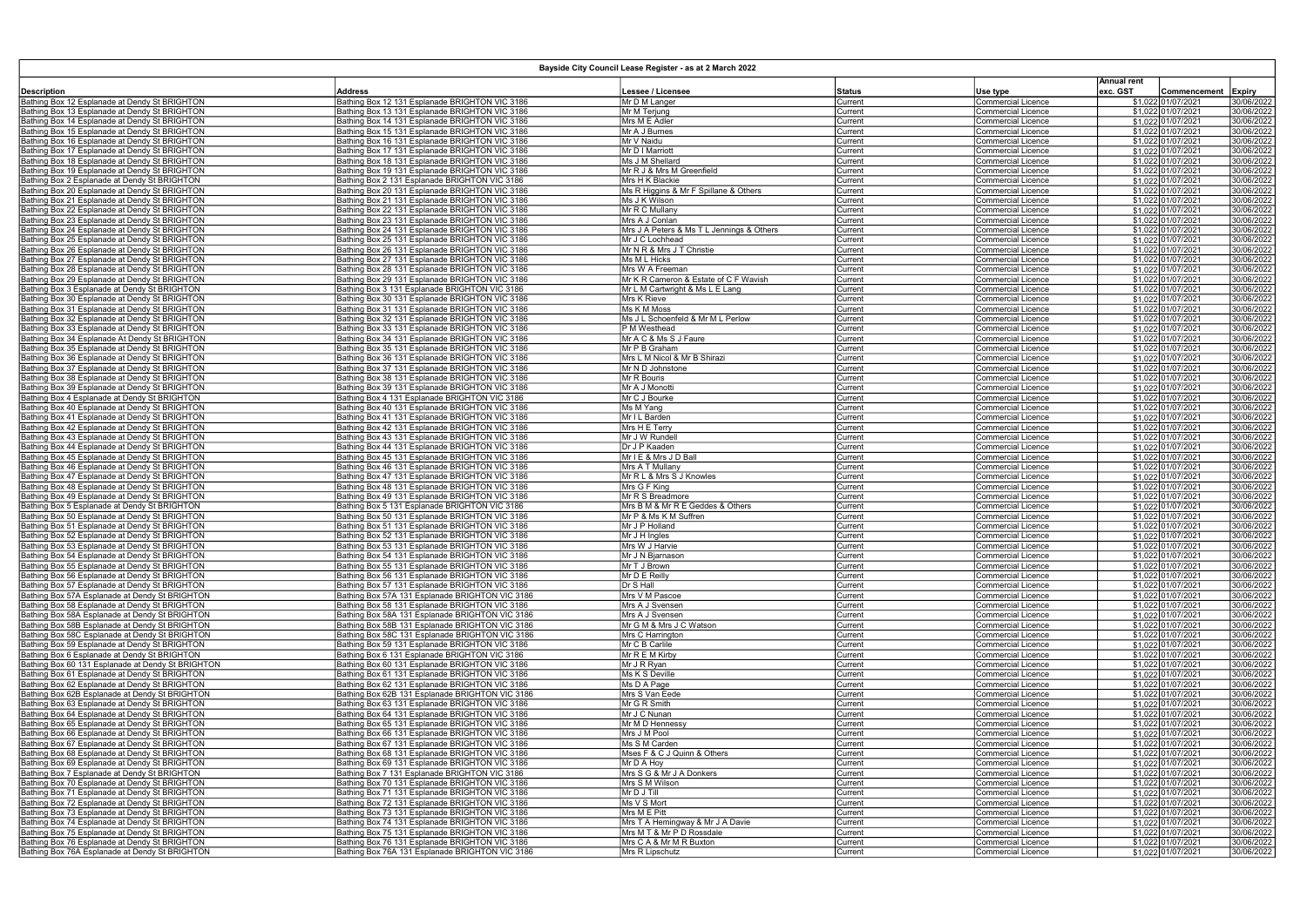| Bayside City Council Lease Register - as at 2 March 2022 |                                                 |                                           |         |                           |                                |                    |               |  |
|----------------------------------------------------------|-------------------------------------------------|-------------------------------------------|---------|---------------------------|--------------------------------|--------------------|---------------|--|
| Description                                              | Address                                         | Lessee / Licensee                         | Status  | Use type                  | <b>Annual rent</b><br>exc. GST | Commencement       | <b>Expiry</b> |  |
| Bathing Box 12 Esplanade at Dendy St BRIGHTON            | Bathing Box 12 131 Esplanade BRIGHTON VIC 3186  | Mr D M Langer                             | Current | <b>Commercial Licence</b> |                                | \$1,022 01/07/2021 | 30/06/2022    |  |
| Bathing Box 13 Esplanade at Dendy St BRIGHTON            | Bathing Box 13 131 Esplanade BRIGHTON VIC 3186  | Mr M Terjung                              | Current | <b>Commercial Licence</b> |                                | \$1,022 01/07/2021 | 30/06/2022    |  |
| Bathing Box 14 Esplanade at Dendy St BRIGHTON            | Bathing Box 14 131 Esplanade BRIGHTON VIC 3186  | Mrs M E Adler                             | Current | <b>Commercial Licence</b> |                                | \$1,022 01/07/2021 | 30/06/2022    |  |
| Bathing Box 15 Esplanade at Dendy St BRIGHTON            | Bathing Box 15 131 Esplanade BRIGHTON VIC 3186  | Mr A J Burnes                             | Current | Commercial Licence        |                                | \$1,022 01/07/2021 | 30/06/2022    |  |
| Bathing Box 16 Esplanade at Dendy St BRIGHTON            | Bathing Box 16 131 Esplanade BRIGHTON VIC 3186  | Mr V Naidu                                | Current | <b>Commercial Licence</b> |                                | \$1,022 01/07/2021 | 30/06/2022    |  |
| Bathing Box 17 Esplanade at Dendy St BRIGHTON            | Bathing Box 17 131 Esplanade BRIGHTON VIC 3186  | Mr D I Marriott                           | Current | Commercial Licence        |                                | \$1,022 01/07/2021 | 30/06/2022    |  |
| Bathing Box 18 Esplanade at Dendy St BRIGHTON            | Bathing Box 18 131 Esplanade BRIGHTON VIC 3186  | Ms J M Shellard                           | Current | <b>Commercial Licence</b> |                                | \$1,022 01/07/2021 | 30/06/2022    |  |
| Bathing Box 19 Esplanade at Dendy St BRIGHTON            | Bathing Box 19 131 Esplanade BRIGHTON VIC 3186  | Mr R J & Mrs M Greenfield                 | Current | <b>Commercial Licence</b> |                                | \$1,022 01/07/2021 | 30/06/2022    |  |
| Bathing Box 2 Esplanade at Dendy St BRIGHTON             | Bathing Box 2 131 Esplanade BRIGHTON VIC 3186   | Mrs H K Blackie                           | Current | <b>Commercial Licence</b> |                                | \$1,022 01/07/2021 | 30/06/2022    |  |
| Bathing Box 20 Esplanade at Dendy St BRIGHTON            | Bathing Box 20 131 Esplanade BRIGHTON VIC 3186  | Ms R Higgins & Mr F Spillane & Others     | Current | <b>Commercial Licence</b> |                                | \$1,022 01/07/2021 | 30/06/2022    |  |
| Bathing Box 21 Esplanade at Dendy St BRIGHTON            | Bathing Box 21 131 Esplanade BRIGHTON VIC 3186  | Ms J K Wilson                             | Current | <b>Commercial Licence</b> |                                | \$1.022 01/07/2021 | 30/06/2022    |  |
| Bathing Box 22 Esplanade at Dendy St BRIGHTON            | Bathing Box 22 131 Esplanade BRIGHTON VIC 3186  | Mr R C Mullany                            | Current | <b>Commercial Licence</b> |                                | \$1.022 01/07/2021 | 30/06/2022    |  |
| Bathing Box 23 Esplanade at Dendy St BRIGHTON            | Bathing Box 23 131 Esplanade BRIGHTON VIC 3186  | Mrs A J Conlan                            | Current | <b>Commercial Licence</b> |                                | \$1.022 01/07/2021 | 30/06/2022    |  |
| Bathing Box 24 Esplanade at Dendy St BRIGHTON            | Bathing Box 24 131 Esplanade BRIGHTON VIC 3186  | Mrs J A Peters & Ms T L Jennings & Others | Current | <b>Commercial Licence</b> |                                | \$1,022 01/07/2021 | 30/06/2022    |  |
| Bathing Box 25 Esplanade at Dendy St BRIGHTON            | Bathing Box 25 131 Esplanade BRIGHTON VIC 3186  | Mr J C Lochhead                           | Current | <b>Commercial Licence</b> |                                | \$1,022 01/07/2021 | 30/06/2022    |  |
| Bathing Box 26 Esplanade at Dendy St BRIGHTON            | Bathing Box 26 131 Esplanade BRIGHTON VIC 3186  | Mr N R & Mrs J T Christie                 |         | <b>Commercial Licence</b> |                                | \$1,022 01/07/2021 | 30/06/2022    |  |
| Bathing Box 27 Esplanade at Dendy St BRIGHTON            | Bathing Box 27 131 Esplanade BRIGHTON VIC 3186  | Ms M L Hicks                              | Current |                           |                                | \$1,022 01/07/2021 | 30/06/2022    |  |
|                                                          |                                                 |                                           | Current | <b>Commercial Licence</b> |                                |                    |               |  |
| Bathing Box 28 Esplanade at Dendy St BRIGHTON            | Bathing Box 28 131 Esplanade BRIGHTON VIC 3186  | Mrs W A Freeman                           | Current | Commercial Licence        |                                | \$1,022 01/07/2021 | 30/06/2022    |  |
| Bathing Box 29 Esplanade at Dendy St BRIGHTON            | Bathing Box 29 131 Esplanade BRIGHTON VIC 3186  | Mr K R Cameron & Estate of C F Wavish     | Current | <b>Commercial Licence</b> |                                | \$1,022 01/07/2021 | 30/06/2022    |  |
| Bathing Box 3 Esplanade at Dendy St BRIGHTON             | Bathing Box 3 131 Esplanade BRIGHTON VIC 3186   | Mr L M Cartwright & Ms L E Lang           | Current | <b>Commercial Licence</b> |                                | \$1,022 01/07/2021 | 30/06/2022    |  |
| Bathing Box 30 Esplanade at Dendy St BRIGHTON            | Bathing Box 30 131 Esplanade BRIGHTON VIC 3186  | Mrs K Rieve                               | Current | <b>Commercial Licence</b> |                                | \$1,022 01/07/2021 | 30/06/2022    |  |
| Bathing Box 31 Esplanade at Dendy St BRIGHTON            | Bathing Box 31 131 Esplanade BRIGHTON VIC 3186  | Ms K M Moss                               | Current | <b>Commercial Licence</b> |                                | \$1,022 01/07/2021 | 30/06/2022    |  |
| Bathing Box 32 Esplanade at Dendy St BRIGHTON            | Bathing Box 32 131 Esplanade BRIGHTON VIC 3186  | Ms J L Schoenfeld & Mr M L Perlow         | Current | <b>Commercial Licence</b> |                                | \$1.022 01/07/2021 | 30/06/2022    |  |
| Bathing Box 33 Esplanade at Dendy St BRIGHTON            | Bathing Box 33 131 Esplanade BRIGHTON VIC 3186  | P M Westhead                              | Current | <b>Commercial Licence</b> |                                | \$1,022 01/07/2021 | 30/06/2022    |  |
| Bathing Box 34 Esplanade At Dendy St BRIGHTON            | Bathing Box 34 131 Esplanade BRIGHTON VIC 3186  | Mr A C & Ms S J Faure                     | Current | <b>Commercial Licence</b> |                                | \$1.022 01/07/2021 | 30/06/2022    |  |
| Bathing Box 35 Esplanade at Dendy St BRIGHTON            | Bathing Box 35 131 Esplanade BRIGHTON VIC 3186  | Mr P B Graham                             | Current | <b>Commercial Licence</b> |                                | \$1,022 01/07/2021 | 30/06/2022    |  |
| Bathing Box 36 Esplanade at Dendy St BRIGHTON            | Bathing Box 36 131 Esplanade BRIGHTON VIC 3186  | Mrs L M Nicol & Mr B Shirazi              | Current | <b>Commercial Licence</b> |                                | \$1,022 01/07/2021 | 30/06/2022    |  |
| Bathing Box 37 Esplanade at Dendy St BRIGHTON            | Bathing Box 37 131 Esplanade BRIGHTON VIC 3186  | Mr N D Johnstone                          | Current | <b>Commercial Licence</b> |                                | \$1,022 01/07/2021 | 30/06/2022    |  |
| Bathing Box 38 Esplanade at Dendy St BRIGHTON            | Bathing Box 38 131 Esplanade BRIGHTON VIC 3186  | Mr R Bouris                               | Current | <b>Commercial Licence</b> |                                | \$1,022 01/07/2021 | 30/06/2022    |  |
| Bathing Box 39 Esplanade at Dendy St BRIGHTON            | Bathing Box 39 131 Esplanade BRIGHTON VIC 3186  | Mr A J Monotti                            | Current | Commercial Licence        |                                | \$1,022 01/07/2021 | 30/06/2022    |  |
| Bathing Box 4 Esplanade at Dendy St BRIGHTON             | Bathing Box 4 131 Esplanade BRIGHTON VIC 3186   | Mr C J Bourke                             | Current | <b>Commercial Licence</b> |                                | \$1,022 01/07/2021 | 30/06/2022    |  |
| Bathing Box 40 Esplanade at Dendy St BRIGHTON            | Bathing Box 40 131 Esplanade BRIGHTON VIC 3186  | Ms M Yang                                 | Current | <b>Commercial Licence</b> |                                | \$1,022 01/07/2021 | 30/06/2022    |  |
| Bathing Box 41 Esplanade at Dendy St BRIGHTON            | Bathing Box 41 131 Esplanade BRIGHTON VIC 3186  | Mr I L Barden                             | Current | <b>Commercial Licence</b> |                                | \$1,022 01/07/2021 | 30/06/2022    |  |
| Bathing Box 42 Esplanade at Dendy St BRIGHTON            | Bathing Box 42 131 Esplanade BRIGHTON VIC 3186  | Mrs H E Terry                             | Current | <b>Commercial Licence</b> |                                | \$1,022 01/07/2021 | 30/06/2022    |  |
| Bathing Box 43 Esplanade at Dendy St BRIGHTON            | Bathing Box 43 131 Esplanade BRIGHTON VIC 3186  | Mr J W Rundell                            | Current | <b>Commercial Licence</b> |                                | \$1,022 01/07/2021 | 30/06/2022    |  |
| Bathing Box 44 Esplanade at Dendy St BRIGHTON            | Bathing Box 44 131 Esplanade BRIGHTON VIC 3186  | Dr J P Kaaden                             | Current | <b>Commercial Licence</b> |                                | \$1,022 01/07/2021 | 30/06/2022    |  |
| Bathing Box 45 Esplanade at Dendy St BRIGHTON            | Bathing Box 45 131 Esplanade BRIGHTON VIC 3186  | Mr I E & Mrs J D Ball                     | Current | <b>Commercial Licence</b> |                                | \$1,022 01/07/2021 | 30/06/2022    |  |
| Bathing Box 46 Esplanade at Dendy St BRIGHTON            | Bathing Box 46 131 Esplanade BRIGHTON VIC 3186  | Mrs A T Mullany                           | Current | <b>Commercial Licence</b> |                                | \$1,022 01/07/2021 | 30/06/2022    |  |
| Bathing Box 47 Esplanade at Dendy St BRIGHTON            | Bathing Box 47 131 Esplanade BRIGHTON VIC 3186  | Mr R L & Mrs S J Knowles                  | Current | <b>Commercial Licence</b> |                                | \$1,022 01/07/2021 | 30/06/2022    |  |
| Bathing Box 48 Esplanade at Dendy St BRIGHTON            | Bathing Box 48 131 Esplanade BRIGHTON VIC 3186  | Mrs G F King                              | Current | <b>Commercial Licence</b> |                                | \$1,022 01/07/2021 | 30/06/2022    |  |
| Bathing Box 49 Esplanade at Dendy St BRIGHTON            | Bathing Box 49 131 Esplanade BRIGHTON VIC 3186  | Mr R S Breadmore                          | Current | <b>Commercial Licence</b> |                                | \$1,022 01/07/2021 | 30/06/2022    |  |
| Bathing Box 5 Esplanade at Dendy St BRIGHTON             | Bathing Box 5 131 Esplanade BRIGHTON VIC 3186   | Mrs B M & Mr R E Geddes & Others          | Current | Commercial Licence        |                                | \$1,022 01/07/2021 | 30/06/2022    |  |
| Bathing Box 50 Esplanade at Dendy St BRIGHTON            | Bathing Box 50 131 Esplanade BRIGHTON VIC 3186  | Mr P & Ms K M Suffren                     | Current | <b>Commercial Licence</b> |                                | \$1,022 01/07/2021 | 30/06/2022    |  |
| Bathing Box 51 Esplanade at Dendy St BRIGHTON            | Bathing Box 51 131 Esplanade BRIGHTON VIC 3186  | Mr J P Holland                            | Current | <b>Commercial Licence</b> |                                | \$1,022 01/07/2021 | 30/06/2022    |  |
| Bathing Box 52 Esplanade at Dendy St BRIGHTON            | Bathing Box 52 131 Esplanade BRIGHTON VIC 3186  | Mr J H Ingles                             | Current | <b>Commercial Licence</b> |                                | \$1,022 01/07/2021 | 30/06/2022    |  |
| Bathing Box 53 Esplanade at Dendy St BRIGHTON            | Bathing Box 53 131 Esplanade BRIGHTON VIC 3186  | Mrs W J Harvie                            | Current | <b>Commercial Licence</b> |                                | \$1.022 01/07/2021 | 30/06/2022    |  |
| Bathing Box 54 Esplanade at Dendy St BRIGHTON            | Bathing Box 54 131 Esplanade BRIGHTON VIC 3186  | Mr J N Bjarnason                          | Current | <b>Commercial Licence</b> |                                | \$1,022 01/07/2021 | 30/06/2022    |  |
| Bathing Box 55 Esplanade at Dendy St BRIGHTON            | Bathing Box 55 131 Esplanade BRIGHTON VIC 3186  | Mr T J Brown                              | Current | <b>Commercial Licence</b> |                                | \$1,022 01/07/2021 | 30/06/2022    |  |
| Bathing Box 56 Esplanade at Dendy St BRIGHTON            | Bathing Box 56 131 Esplanade BRIGHTON VIC 3186  | Mr D E Reilly                             | Current | <b>Commercial Licence</b> |                                | \$1,022 01/07/2021 | 30/06/2022    |  |
| Bathing Box 57 Esplanade at Dendy St BRIGHTON            | Bathing Box 57 131 Esplanade BRIGHTON VIC 3186  | Dr S Hall                                 | Current | <b>Commercial Licence</b> |                                | \$1,022 01/07/2021 | 30/06/2022    |  |
| Bathing Box 57A Esplanade at Dendy St BRIGHTON           | Bathing Box 57A 131 Esplanade BRIGHTON VIC 3186 | Mrs V M Pascoe                            | Current | <b>Commercial Licence</b> |                                | \$1,022 01/07/2021 | 30/06/2022    |  |
| Bathing Box 58 Esplanade at Dendy St BRIGHTON            | Bathing Box 58 131 Esplanade BRIGHTON VIC 3186  | Mrs A J Svensen                           | Current | <b>Commercial Licence</b> |                                | \$1,022 01/07/2021 | 30/06/2022    |  |
| Bathing Box 58A Esplanade at Dendy St BRIGHTON           | Bathing Box 58A 131 Esplanade BRIGHTON VIC 3186 | Mrs A J Svensen                           | Current | <b>Commercial Licence</b> |                                | \$1,022 01/07/2021 | 30/06/2022    |  |
| Bathing Box 58B Esplanade at Dendy St BRIGHTON           | Bathing Box 58B 131 Esplanade BRIGHTON VIC 3186 | Mr G M & Mrs J C Watson                   | Current | <b>Commercial Licence</b> |                                | \$1,022 01/07/2021 | 30/06/2022    |  |
| Bathing Box 58C Esplanade at Dendy St BRIGHTON           | Bathing Box 58C 131 Esplanade BRIGHTON VIC 3186 | Mrs C Harrington                          | Current | <b>Commercial Licence</b> |                                | \$1,022 01/07/2021 | 30/06/2022    |  |
| Bathing Box 59 Esplanade at Dendy St BRIGHTON            | Bathing Box 59 131 Esplanade BRIGHTON VIC 3186  | Mr C B Carlile                            | Current | <b>Commercial Licence</b> |                                | \$1,022 01/07/2021 | 30/06/2022    |  |
| Bathing Box 6 Esplanade at Dendy St BRIGHTON             | Bathing Box 6 131 Esplanade BRIGHTON VIC 3186   | Mr R E M Kirby                            | Current | <b>Commercial Licence</b> |                                | \$1,022 01/07/2021 | 30/06/2022    |  |
| Bathing Box 60 131 Esplanade at Dendy St BRIGHTON        | Bathing Box 60 131 Esplanade BRIGHTON VIC 3186  | Mr J R Ryan                               | Current | <b>Commercial Licence</b> |                                | \$1,022 01/07/2021 | 30/06/2022    |  |
| Bathing Box 61 Esplanade at Dendy St BRIGHTON            | Bathing Box 61 131 Esplanade BRIGHTON VIC 3186  | Ms K S Deville                            | Current | <b>Commercial Licence</b> |                                | \$1,022 01/07/2021 | 30/06/2022    |  |
| Bathing Box 62 Esplanade at Dendy St BRIGHTON            | Bathing Box 62 131 Esplanade BRIGHTON VIC 3186  | Ms D A Page                               | Current | Commercial Licence        |                                | \$1,022 01/07/2021 | 30/06/2022    |  |
| Bathing Box 62B Esplanade at Dendy St BRIGHTON           | Bathing Box 62B 131 Esplanade BRIGHTON VIC 3186 | Mrs S Van Eede                            | Current | <b>Commercial Licence</b> |                                | \$1,022 01/07/2021 | 30/06/2022    |  |
| Bathing Box 63 Esplanade at Dendy St BRIGHTON            | Bathing Box 63 131 Esplanade BRIGHTON VIC 3186  | Mr G R Smith                              | Current | Commercial Licence        |                                | \$1,022 01/07/2021 | 30/06/2022    |  |
| Bathing Box 64 Esplanade at Dendy St BRIGHTON            | Bathing Box 64 131 Esplanade BRIGHTON VIC 3186  | Mr J C Nunan                              | Current | <b>Commercial Licence</b> |                                | \$1,022 01/07/2021 | 30/06/2022    |  |
| Bathing Box 65 Esplanade at Dendy St BRIGHTON            | Bathing Box 65 131 Esplanade BRIGHTON VIC 3186  | Mr M D Hennessy                           | Current | <b>Commercial Licence</b> |                                | \$1,022 01/07/2021 | 30/06/2022    |  |
| Bathing Box 66 Esplanade at Dendy St BRIGHTON            | Bathing Box 66 131 Esplanade BRIGHTON VIC 3186  | Mrs J M Pool                              | Current | <b>Commercial Licence</b> |                                | \$1,022 01/07/2021 | 30/06/2022    |  |
| Bathing Box 67 Esplanade at Dendy St BRIGHTON            | Bathing Box 67 131 Esplanade BRIGHTON VIC 3186  | Ms S M Carden                             | Current | <b>Commercial Licence</b> |                                | \$1,022 01/07/2021 | 30/06/2022    |  |
| Bathing Box 68 Esplanade at Dendy St BRIGHTON            | Bathing Box 68 131 Esplanade BRIGHTON VIC 3186  | Mses F & C J Quinn & Others               | Current | <b>Commercial Licence</b> |                                | \$1,022 01/07/2021 | 30/06/2022    |  |
| Bathing Box 69 Esplanade at Dendy St BRIGHTON            | Bathing Box 69 131 Esplanade BRIGHTON VIC 3186  | Mr D A Hoy                                | Current | <b>Commercial Licence</b> |                                | \$1,022 01/07/2021 | 30/06/2022    |  |
| Bathing Box 7 Esplanade at Dendy St BRIGHTON             | Bathing Box 7 131 Esplanade BRIGHTON VIC 3186   | Mrs S G & Mr J A Donkers                  | Current | <b>Commercial Licence</b> |                                | \$1,022 01/07/2021 | 30/06/2022    |  |
| Bathing Box 70 Esplanade at Dendy St BRIGHTON            | Bathing Box 70 131 Esplanade BRIGHTON VIC 3186  | Mrs S M Wilson                            | Current | <b>Commercial Licence</b> |                                | \$1,022 01/07/2021 | 30/06/2022    |  |
| Bathing Box 71 Esplanade at Dendy St BRIGHTON            | Bathing Box 71 131 Esplanade BRIGHTON VIC 3186  | Mr D J Till                               | Current | <b>Commercial Licence</b> |                                | \$1,022 01/07/2021 | 30/06/2022    |  |
| Bathing Box 72 Esplanade at Dendy St BRIGHTON            | Bathing Box 72 131 Esplanade BRIGHTON VIC 3186  | Ms V S Mort                               | Current | <b>Commercial Licence</b> |                                | \$1,022 01/07/2021 | 30/06/2022    |  |
| Bathing Box 73 Esplanade at Dendy St BRIGHTON            | Bathing Box 73 131 Esplanade BRIGHTON VIC 3186  | Mrs M E Pitt                              | Current | <b>Commercial Licence</b> |                                | \$1,022 01/07/2021 | 30/06/2022    |  |
| Bathing Box 74 Esplanade at Dendy St BRIGHTON            | Bathing Box 74 131 Esplanade BRIGHTON VIC 3186  | Mrs T A Hemingway & Mr J A Davie          | Current | <b>Commercial Licence</b> |                                | \$1,022 01/07/2021 | 30/06/2022    |  |
| Bathing Box 75 Esplanade at Dendy St BRIGHTON            | Bathing Box 75 131 Esplanade BRIGHTON VIC 3186  | Mrs M T & Mr P D Rossdale                 | Current | <b>Commercial Licence</b> |                                | \$1,022 01/07/2021 | 30/06/2022    |  |
| Bathing Box 76 Esplanade at Dendy St BRIGHTON            | Bathing Box 76 131 Esplanade BRIGHTON VIC 3186  | Mrs C A & Mr M R Buxton                   | Current | <b>Commercial Licence</b> |                                | \$1,022 01/07/2021 | 30/06/2022    |  |
| Bathing Box 76A Esplanade at Dendy St BRIGHTON           | Bathing Box 76A 131 Esplanade BRIGHTON VIC 3186 | Mrs R Lipschutz                           | Current | <b>Commercial Licence</b> |                                | \$1,022 01/07/2021 | 30/06/2022    |  |